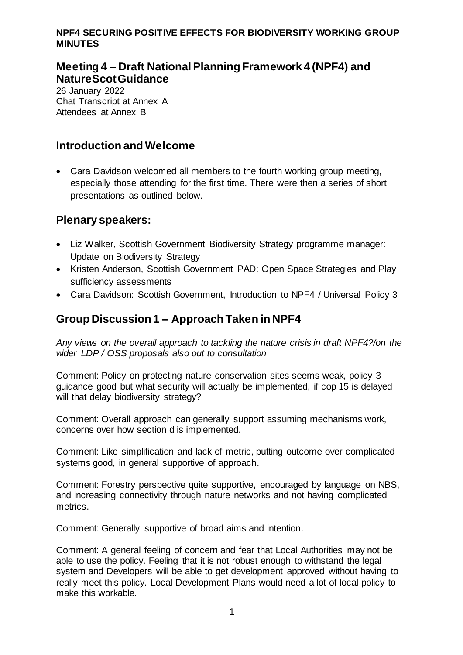## **Meeting 4 – Draft National Planning Framework 4 (NPF4) and NatureScot Guidance**

26 January 2022 Chat Transcript at Annex A Attendees at Annex B

### **Introduction and Welcome**

 Cara Davidson welcomed all members to the fourth working group meeting, especially those attending for the first time. There were then a series of short presentations as outlined below.

### **Plenary speakers:**

- Liz Walker, Scottish Government Biodiversity Strategy programme manager: Update on Biodiversity Strategy
- Kristen Anderson, Scottish Government PAD: Open Space Strategies and Play sufficiency assessments
- Cara Davidson: Scottish Government, Introduction to NPF4 / Universal Policy 3

## **Group Discussion 1 – Approach Taken in NPF4**

*Any views on the overall approach to tackling the nature crisis in draft NPF4?/on the wider LDP / OSS proposals also out to consultation*

Comment: Policy on protecting nature conservation sites seems weak, policy 3 guidance good but what security will actually be implemented, if cop 15 is delayed will that delay biodiversity strategy?

Comment: Overall approach can generally support assuming mechanisms work, concerns over how section d is implemented.

Comment: Like simplification and lack of metric, putting outcome over complicated systems good, in general supportive of approach.

Comment: Forestry perspective quite supportive, encouraged by language on NBS, and increasing connectivity through nature networks and not having complicated metrics.

Comment: Generally supportive of broad aims and intention.

Comment: A general feeling of concern and fear that Local Authorities may not be able to use the policy. Feeling that it is not robust enough to withstand the legal system and Developers will be able to get development approved without having to really meet this policy. Local Development Plans would need a lot of local policy to make this workable.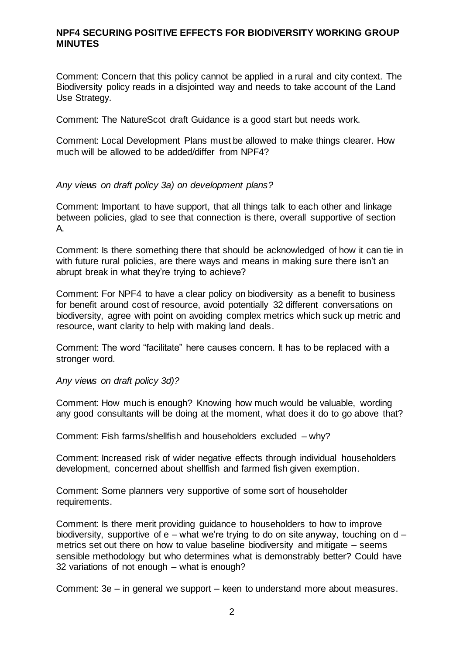Comment: Concern that this policy cannot be applied in a rural and city context. The Biodiversity policy reads in a disjointed way and needs to take account of the Land Use Strategy.

Comment: The NatureScot draft Guidance is a good start but needs work.

Comment: Local Development Plans must be allowed to make things clearer. How much will be allowed to be added/differ from NPF4?

#### *Any views on draft policy 3a) on development plans?*

Comment: Important to have support, that all things talk to each other and linkage between policies, glad to see that connection is there, overall supportive of section A.

Comment: Is there something there that should be acknowledged of how it can tie in with future rural policies, are there ways and means in making sure there isn't an abrupt break in what they're trying to achieve?

Comment: For NPF4 to have a clear policy on biodiversity as a benefit to business for benefit around cost of resource, avoid potentially 32 different conversations on biodiversity, agree with point on avoiding complex metrics which suck up metric and resource, want clarity to help with making land deals.

Comment: The word "facilitate" here causes concern. It has to be replaced with a stronger word.

*Any views on draft policy 3d)?*

Comment: How much is enough? Knowing how much would be valuable, wording any good consultants will be doing at the moment, what does it do to go above that?

Comment: Fish farms/shellfish and householders excluded – why?

Comment: Increased risk of wider negative effects through individual householders development, concerned about shellfish and farmed fish given exemption.

Comment: Some planners very supportive of some sort of householder requirements.

Comment: Is there merit providing guidance to householders to how to improve biodiversity, supportive of  $e$  – what we're trying to do on site anyway, touching on  $d$  – metrics set out there on how to value baseline biodiversity and mitigate – seems sensible methodology but who determines what is demonstrably better? Could have 32 variations of not enough – what is enough?

Comment: 3e – in general we support – keen to understand more about measures.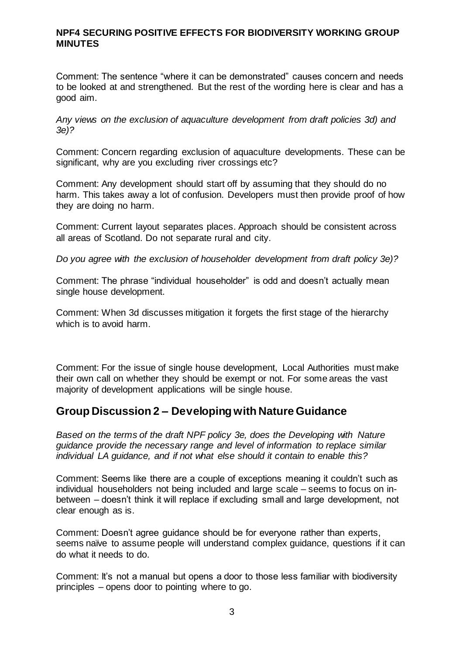Comment: The sentence "where it can be demonstrated" causes concern and needs to be looked at and strengthened. But the rest of the wording here is clear and has a good aim.

*Any views on the exclusion of aquaculture development from draft policies 3d) and 3e)?*

Comment: Concern regarding exclusion of aquaculture developments. These can be significant, why are you excluding river crossings etc?

Comment: Any development should start off by assuming that they should do no harm. This takes away a lot of confusion. Developers must then provide proof of how they are doing no harm.

Comment: Current layout separates places. Approach should be consistent across all areas of Scotland. Do not separate rural and city.

*Do you agree with the exclusion of householder development from draft policy 3e)?*

Comment: The phrase "individual householder" is odd and doesn't actually mean single house development.

Comment: When 3d discusses mitigation it forgets the first stage of the hierarchy which is to avoid harm.

Comment: For the issue of single house development, Local Authorities must make their own call on whether they should be exempt or not. For some areas the vast majority of development applications will be single house.

### **Group Discussion 2 – Developing with Nature Guidance**

*Based on the terms of the draft NPF policy 3e, does the Developing with Nature guidance provide the necessary range and level of information to replace similar individual LA guidance, and if not what else should it contain to enable this?*

Comment: Seems like there are a couple of exceptions meaning it couldn't such as individual householders not being included and large scale – seems to focus on inbetween – doesn't think it will replace if excluding small and large development, not clear enough as is.

Comment: Doesn't agree guidance should be for everyone rather than experts, seems naïve to assume people will understand complex guidance, questions if it can do what it needs to do.

Comment: It's not a manual but opens a door to those less familiar with biodiversity principles – opens door to pointing where to go.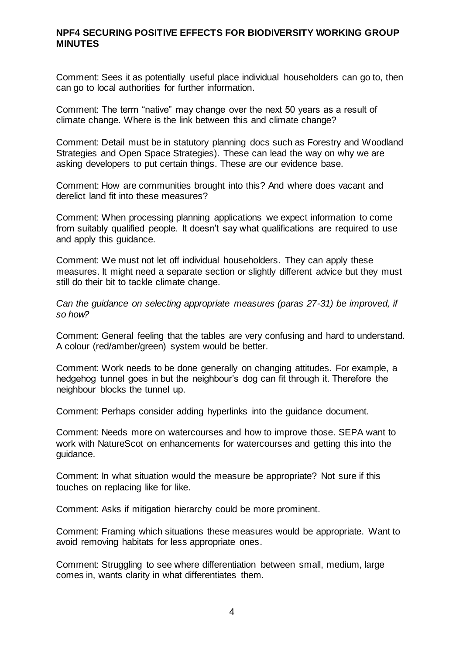Comment: Sees it as potentially useful place individual householders can go to, then can go to local authorities for further information.

Comment: The term "native" may change over the next 50 years as a result of climate change. Where is the link between this and climate change?

Comment: Detail must be in statutory planning docs such as Forestry and Woodland Strategies and Open Space Strategies). These can lead the way on why we are asking developers to put certain things. These are our evidence base.

Comment: How are communities brought into this? And where does vacant and derelict land fit into these measures?

Comment: When processing planning applications we expect information to come from suitably qualified people. It doesn't say what qualifications are required to use and apply this guidance.

Comment: We must not let off individual householders. They can apply these measures. It might need a separate section or slightly different advice but they must still do their bit to tackle climate change.

*Can the guidance on selecting appropriate measures (paras 27-31) be improved, if so how?*

Comment: General feeling that the tables are very confusing and hard to understand. A colour (red/amber/green) system would be better.

Comment: Work needs to be done generally on changing attitudes. For example, a hedgehog tunnel goes in but the neighbour's dog can fit through it. Therefore the neighbour blocks the tunnel up.

Comment: Perhaps consider adding hyperlinks into the guidance document.

Comment: Needs more on watercourses and how to improve those. SEPA want to work with NatureScot on enhancements for watercourses and getting this into the guidance.

Comment: In what situation would the measure be appropriate? Not sure if this touches on replacing like for like.

Comment: Asks if mitigation hierarchy could be more prominent.

Comment: Framing which situations these measures would be appropriate. Want to avoid removing habitats for less appropriate ones.

Comment: Struggling to see where differentiation between small, medium, large comes in, wants clarity in what differentiates them.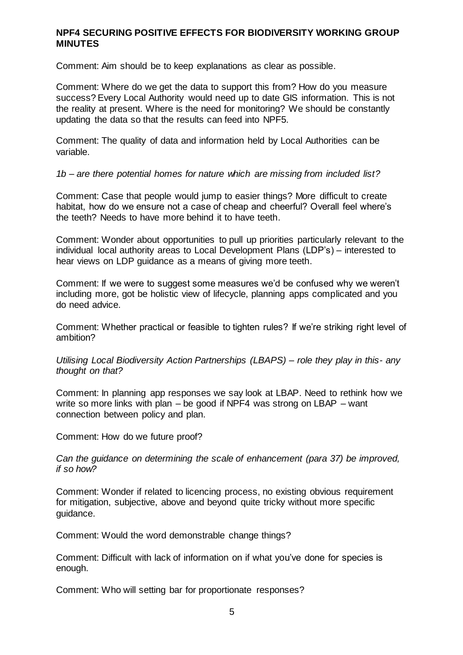Comment: Aim should be to keep explanations as clear as possible.

Comment: Where do we get the data to support this from? How do you measure success? Every Local Authority would need up to date GIS information. This is not the reality at present. Where is the need for monitoring? We should be constantly updating the data so that the results can feed into NPF5.

Comment: The quality of data and information held by Local Authorities can be variable.

*1b – are there potential homes for nature which are missing from included list?*

Comment: Case that people would jump to easier things? More difficult to create habitat, how do we ensure not a case of cheap and cheerful? Overall feel where's the teeth? Needs to have more behind it to have teeth.

Comment: Wonder about opportunities to pull up priorities particularly relevant to the individual local authority areas to Local Development Plans (LDP's) – interested to hear views on LDP guidance as a means of giving more teeth.

Comment: If we were to suggest some measures we'd be confused why we weren't including more, got be holistic view of lifecycle, planning apps complicated and you do need advice.

Comment: Whether practical or feasible to tighten rules? If we're striking right level of ambition?

*Utilising Local Biodiversity Action Partnerships (LBAPS) – role they play in this- any thought on that?*

Comment: In planning app responses we say look at LBAP. Need to rethink how we write so more links with plan – be good if NPF4 was strong on LBAP – want connection between policy and plan.

Comment: How do we future proof?

*Can the guidance on determining the scale of enhancement (para 37) be improved, if so how?*

Comment: Wonder if related to licencing process, no existing obvious requirement for mitigation, subjective, above and beyond quite tricky without more specific guidance.

Comment: Would the word demonstrable change things?

Comment: Difficult with lack of information on if what you've done for species is enough.

Comment: Who will setting bar for proportionate responses?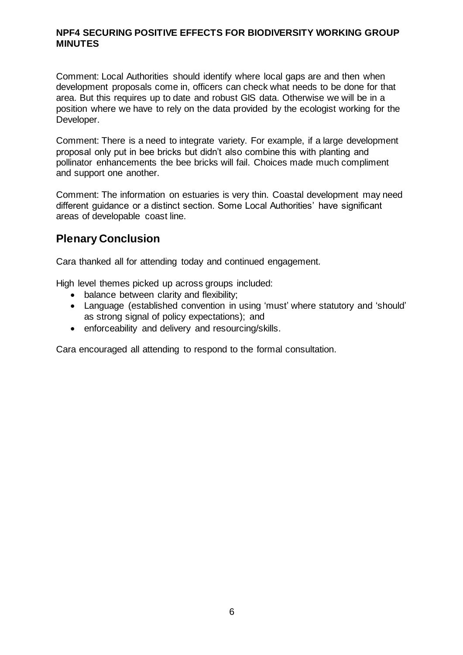Comment: Local Authorities should identify where local gaps are and then when development proposals come in, officers can check what needs to be done for that area. But this requires up to date and robust GIS data. Otherwise we will be in a position where we have to rely on the data provided by the ecologist working for the Developer.

Comment: There is a need to integrate variety. For example, if a large development proposal only put in bee bricks but didn't also combine this with planting and pollinator enhancements the bee bricks will fail. Choices made much compliment and support one another.

Comment: The information on estuaries is very thin. Coastal development may need different guidance or a distinct section. Some Local Authorities' have significant areas of developable coast line.

### **Plenary Conclusion**

Cara thanked all for attending today and continued engagement.

High level themes picked up across groups included:

- balance between clarity and flexibility;
- Language (established convention in using 'must' where statutory and 'should' as strong signal of policy expectations); and
- enforceability and delivery and resourcing/skills.

Cara encouraged all attending to respond to the formal consultation.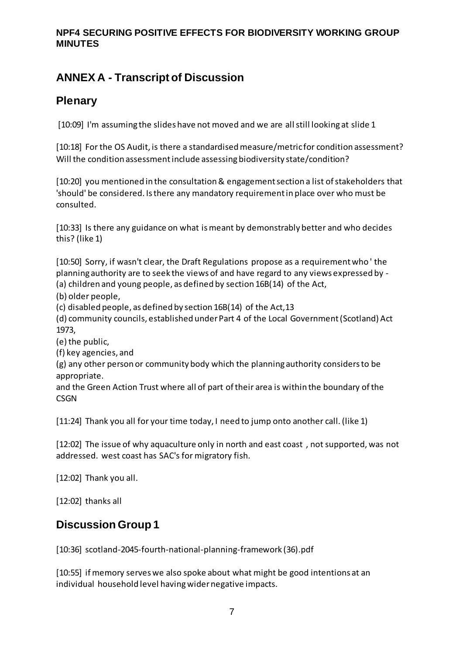# **ANNEX A - Transcript of Discussion**

## **Plenary**

[10:09] I'm assuming the slides have not moved and we are all still looking at slide 1

[10:18] For the OS Audit, is there a standardised measure/metric for condition assessment? Will the condition assessment include assessing biodiversity state/condition?

[10:20] you mentioned in the consultation & engagement section a list of stakeholders that 'should' be considered. Is there any mandatory requirement in place over who must be consulted.

[10:33] Is there any guidance on what is meant by demonstrably better and who decides this? (like 1)

[10:50] Sorry, if wasn't clear, the Draft Regulations propose as a requirement who ' the planning authority are to seek the views of and have regard to any views expressed by - (a) children and young people, as defined by section 16B(14) of the Act,

(b) older people,

(c) disabled people, as defined by section 16B(14) of the Act,13

(d) community councils, established under Part 4 of the Local Government (Scotland) Act 1973,

(e) the public,

(f) key agencies, and

(g) any other person or community body which the planning authority considers to be appropriate.

and the Green Action Trust where all of part of their area is within the boundary of the **CSGN** 

[11:24] Thank you all for your time today, I need to jump onto another call. (like 1)

[12:02] The issue of why aquaculture only in north and east coast, not supported, was not addressed. west coast has SAC's for migratory fish.

[12:02] Thank you all.

[12:02] thanks all

## **Discussion Group 1**

[10:36] scotland-2045-fourth-national-planning-framework (36).pdf

[10:55] if memory serves we also spoke about what might be good intentions at an individual household level having wider negative impacts.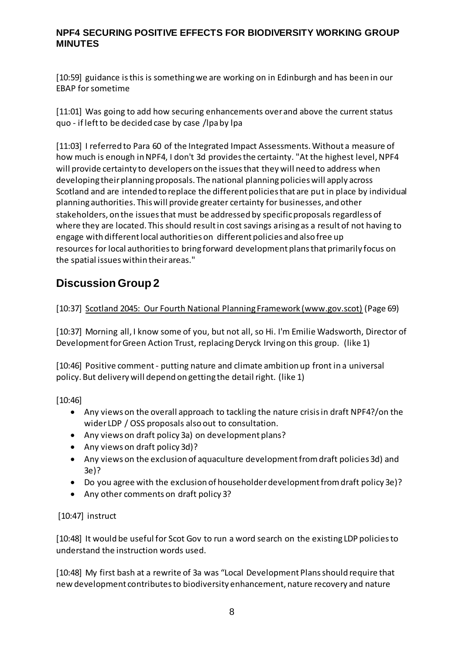[10:59] guidance is this is something we are working on in Edinburgh and has been in our EBAP for sometime

[11:01] Was going to add how securing enhancements over and above the current status quo - if left to be decided case by case /lpa by lpa

[11:03] I referred to Para 60 of the Integrated Impact Assessments. Without a measure of how much is enough in NPF4, I don't 3d provides the certainty. "At the highest level, NPF4 will provide certainty to developers on the issues that they will need to address when developing their planning proposals. The national planning policies will apply across Scotland and are intended to replace the different policies that are put in place by individual planning authorities. This will provide greater certainty for businesses, and other stakeholders, on the issues that must be addressed by specific proposals regardless of where they are located. This should result in cost savings arising as a result of not having to engage with different local authorities on different policies and also free up resources for local authorities to bring forward development plans that primarily focus on the spatial issues within their areas."

## **Discussion Group 2**

[10:37] [Scotland 2045: Our Fourth National Planning Framework \(www.gov.scot\)](https://www.gov.scot/binaries/content/documents/govscot/publications/consultation-paper/2021/11/scotland-2045-fourth-national-planning-framework-draft/documents/scotland-2045-fourth-national-planning-framework/scotland-2045-fourth-national-planning-framework/govscot%3Adocument/scotland-2045-fourth-national-planning-framework.pdf?forceDownload=true) (Page 69)

[10:37] Morning all, I know some of you, but not all, so Hi. I'm Emilie Wadsworth, Director of Development for Green Action Trust, replacing Deryck Irving on this group. (like 1)

[10:46] Positive comment - putting nature and climate ambition up front in a universal policy. But delivery will depend on getting the detail right. (like 1)

[10:46]

- Any views on the overall approach to tackling the nature crisis in draft NPF4?/on the wider LDP / OSS proposals also out to consultation.
- Any views on draft policy 3a) on development plans?
- Any views on draft policy 3d)?
- Any views on the exclusion of aquaculture development from draft policies 3d) and 3e)?
- Do you agree with the exclusion of householder development from draft policy 3e)?
- Any other comments on draft policy 3?

[10:47] instruct

[10:48] It would be useful for Scot Gov to run a word search on the existing LDP policies to understand the instruction words used.

[10:48] My first bash at a rewrite of 3a was "Local Development Plans should require that new development contributes to biodiversity enhancement, nature recovery and nature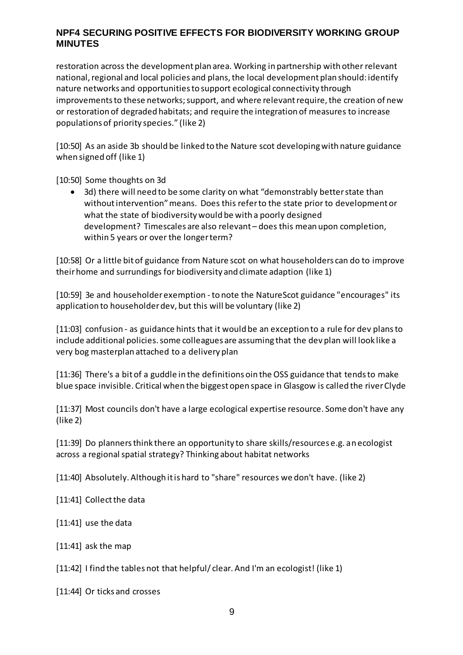restoration across the development plan area. Working in partnership with other relevant national, regional and local policies and plans, the local development plan should: identify nature networks and opportunities to support ecological connectivity through improvements to these networks; support, and where relevant require, the creation of new or restoration of degraded habitats; and require the integration of measures to increase populations of priority species." (like 2)

[10:50] As an aside 3b should be linked to the Nature scot developing with nature guidance when signed off (like 1)

[10:50] Some thoughts on 3d

 3d) there will need to be some clarity on what "demonstrably better state than without intervention" means. Does this refer to the state prior to development or what the state of biodiversity would be with a poorly designed development? Timescales are also relevant – does this mean upon completion, within 5 years or over the longer term?

[10:58] Or a little bit of guidance from Nature scot on what householders can do to improve their home and surrundings for biodiversity and climate adaption (like 1)

[10:59] 3e and householder exemption - to note the NatureScot guidance "encourages" its application to householder dev, but this will be voluntary (like 2)

[11:03] confusion - as guidance hints that it would be an exception to a rule for dev plans to include additional policies. some colleagues are assuming that the dev plan will look like a very bog masterplan attached to a delivery plan

[11:36] There's a bit of a guddle in the definitions oin the OSS guidance that tends to make blue space invisible. Critical when the biggest open space in Glasgow is called the river Clyde

[11:37] Most councils don't have a large ecological expertise resource. Some don't have any (like 2)

[11:39] Do planners think there an opportunity to share skills/resources e.g. an ecologist across a regional spatial strategy? Thinking about habitat networks

[11:40] Absolutely. Although it is hard to "share" resources we don't have. (like 2)

[11:41] Collect the data

[11:41] use the data

[11:41] ask the map

[11:42] I find the tables not that helpful/clear. And I'm an ecologist! (like 1)

[11:44] Or ticks and crosses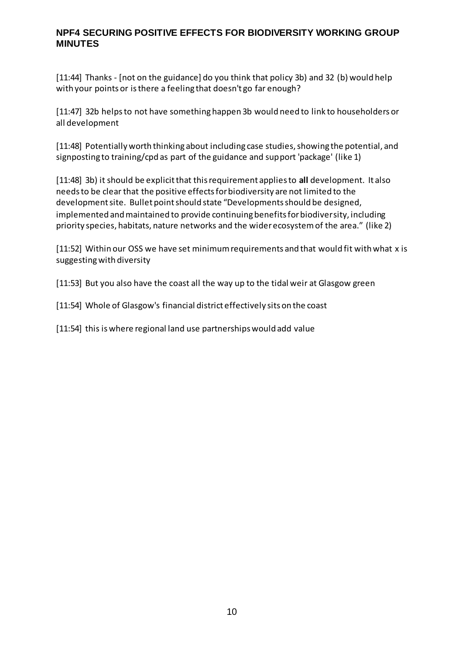[11:44] Thanks - [not on the guidance] do you think that policy 3b) and 32 (b) would help with your points or is there a feeling that doesn't go far enough?

[11:47] 32b helps to not have something happen 3b would need to link to householders or all development

[11:48] Potentially worth thinking about including case studies, showing the potential, and signposting to training/cpd as part of the guidance and support 'package' (like 1)

[11:48] 3b) it should be explicit that this requirement applies to **all** development. It also needs to be clear that the positive effects for biodiversity are not limited to the development site. Bullet point should state "Developments should be designed, implemented and maintained to provide continuing benefits for biodiversity, including priority species, habitats, nature networks and the wider ecosystem of the area." (like 2)

[11:52] Within our OSS we have set minimum requirements and that would fit with what x is suggesting with diversity

[11:53] But you also have the coast all the way up to the tidal weir at Glasgow green

[11:54] Whole of Glasgow's financial district effectively sits on the coast

[11:54] this is where regional land use partnerships would add value